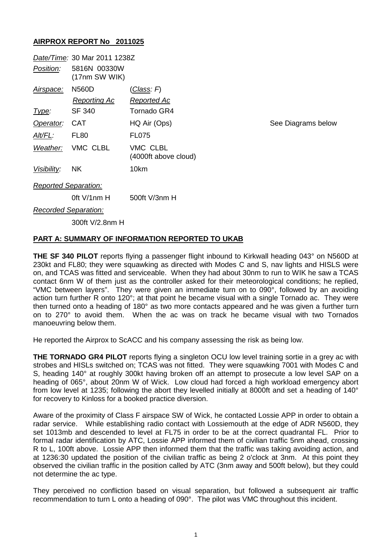## **AIRPROX REPORT No 2011025**

|                             | Date/Time: 30 Mar 2011 1238Z  |                                  |
|-----------------------------|-------------------------------|----------------------------------|
| Position:                   | 5816N 00330W<br>(17nm SW WIK) |                                  |
| <u>Airspace:</u>            | N560D                         | <u>(Class</u> : F)               |
|                             | <b>Reporting Ac</b>           | Reported Ac                      |
| <u>Type:</u>                | SF 340                        | Tornado GR4                      |
| Operator:                   | <b>CAT</b>                    | HQ Air (Ops)                     |
| Alt/FL:                     | FL80                          | <b>FL075</b>                     |
|                             | Weather: VMC CLBL             | VMC CLBL<br>(4000ft above cloud) |
| Visibility:                 | <b>NK</b>                     | 10km                             |
| <b>Reported Separation:</b> |                               |                                  |
|                             | 0ft V/1nm H                   | 500ft V/3nm H                    |
| <b>Recorded Separation:</b> |                               |                                  |
|                             | 300ft V/2.8nm H               |                                  |

**See Diagrams below** 

## **PART A: SUMMARY OF INFORMATION REPORTED TO UKAB**

**THE SF 340 PILOT** reports flying a passenger flight inbound to Kirkwall heading 043° on N560D at 230kt and FL80; they were squawking as directed with Modes C and S, nav lights and HISLS were on, and TCAS was fitted and serviceable. When they had about 30nm to run to WIK he saw a TCAS contact 6nm W of them just as the controller asked for their meteorological conditions; he replied, "VMC between layers". They were given an immediate turn on to 090°, followed by an avoiding action turn further R onto 120°; at that point he became visual with a single Tornado ac. They were then turned onto a heading of 180° as two more contacts appeared and he was given a further turn on to 270° to avoid them. When the ac was on track he became visual with two Tornados manoeuvring below them.

He reported the Airprox to ScACC and his company assessing the risk as being low.

**THE TORNADO GR4 PILOT** reports flying a singleton OCU low level training sortie in a grey ac with strobes and HISLs switched on; TCAS was not fitted. They were squawking 7001 with Modes C and S, heading 140° at roughly 300kt having broken off an attempt to prosecute a low level SAP on a heading of 065°, about 20nm W of Wick. Low cloud had forced a high workload emergency abort from low level at 1235; following the abort they levelled initially at 8000ft and set a heading of 140° for recovery to Kinloss for a booked practice diversion.

Aware of the proximity of Class F airspace SW of Wick, he contacted Lossie APP in order to obtain a radar service. While establishing radio contact with Lossiemouth at the edge of ADR N560D, they set 1013mb and descended to level at FL75 in order to be at the correct quadrantal FL. Prior to formal radar identification by ATC, Lossie APP informed them of civilian traffic 5nm ahead, crossing R to L, 100ft above. Lossie APP then informed them that the traffic was taking avoiding action, and at 1236:30 updated the position of the civilian traffic as being 2 o'clock at 3nm. At this point they observed the civilian traffic in the position called by ATC (3nm away and 500ft below), but they could not determine the ac type.

They perceived no confliction based on visual separation, but followed a subsequent air traffic recommendation to turn L onto a heading of 090°. The pilot was VMC throughout this incident.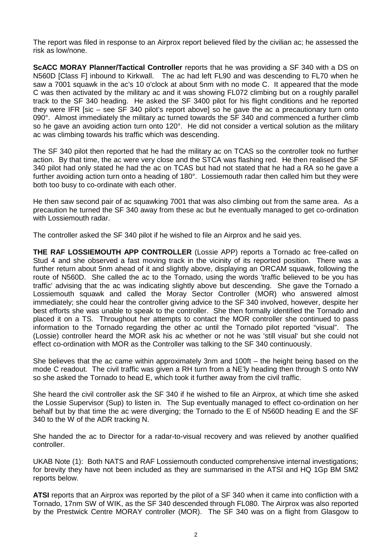The report was filed in response to an Airprox report believed filed by the civilian ac; he assessed the risk as low/none.

**ScACC MORAY Planner/Tactical Controller** reports that he was providing a SF 340 with a DS on N560D [Class F] inbound to Kirkwall. The ac had left FL90 and was descending to FL70 when he saw a 7001 squawk in the ac's 10 o'clock at about 5nm with no mode C. It appeared that the mode C was then activated by the military ac and it was showing FL072 climbing but on a roughly parallel track to the SF 340 heading. He asked the SF 3400 pilot for his flight conditions and he reported they were IFR [sic – see SF 340 pilot's report above] so he gave the ac a precautionary turn onto 090°. Almost immediately the military ac turned towards the SF 340 and commenced a further climb so he gave an avoiding action turn onto 120°. He did not consider a vertical solution as the military ac was climbing towards his traffic which was descending.

The SF 340 pilot then reported that he had the military ac on TCAS so the controller took no further action. By that time, the ac were very close and the STCA was flashing red. He then realised the SF 340 pilot had only stated he had the ac on TCAS but had not stated that he had a RA so he gave a further avoiding action turn onto a heading of 180°. Lossiemouth radar then called him but they were both too busy to co-ordinate with each other.

He then saw second pair of ac squawking 7001 that was also climbing out from the same area. As a precaution he turned the SF 340 away from these ac but he eventually managed to get co-ordination with Lossiemouth radar.

The controller asked the SF 340 pilot if he wished to file an Airprox and he said yes.

**THE RAF LOSSIEMOUTH APP CONTROLLER** (Lossie APP) reports a Tornado ac free-called on Stud 4 and she observed a fast moving track in the vicinity of its reported position. There was a further return about 5nm ahead of it and slightly above, displaying an ORCAM squawk, following the route of N560D. She called the ac to the Tornado, using the words 'traffic believed to be you has traffic' advising that the ac was indicating slightly above but descending. She gave the Tornado a Lossiemouth squawk and called the Moray Sector Controller (MOR) who answered almost immediately; she could hear the controller giving advice to the SF 340 involved, however, despite her best efforts she was unable to speak to the controller. She then formally identified the Tornado and placed it on a TS. Throughout her attempts to contact the MOR controller she continued to pass information to the Tornado regarding the other ac until the Tornado pilot reported "visual". The (Lossie) controller heard the MOR ask his ac whether or not he was 'still visual' but she could not effect co-ordination with MOR as the Controller was talking to the SF 340 continuously.

She believes that the ac came within approximately 3nm and 100ft – the height being based on the mode C readout. The civil traffic was given a RH turn from a NE'ly heading then through S onto NW so she asked the Tornado to head E, which took it further away from the civil traffic.

She heard the civil controller ask the SF 340 if he wished to file an Airprox, at which time she asked the Lossie Supervisor (Sup) to listen in. The Sup eventually managed to effect co-ordination on her behalf but by that time the ac were diverging; the Tornado to the E of N560D heading E and the SF 340 to the W of the ADR tracking N.

She handed the ac to Director for a radar-to-visual recovery and was relieved by another qualified controller.

UKAB Note (1): Both NATS and RAF Lossiemouth conducted comprehensive internal investigations; for brevity they have not been included as they are summarised in the ATSI and HQ 1Gp BM SM2 reports below.

**ATSI** reports that an Airprox was reported by the pilot of a SF 340 when it came into confliction with a Tornado, 17nm SW of WIK, as the SF 340 descended through FL080. The Airprox was also reported by the Prestwick Centre MORAY controller (MOR). The SF 340 was on a flight from Glasgow to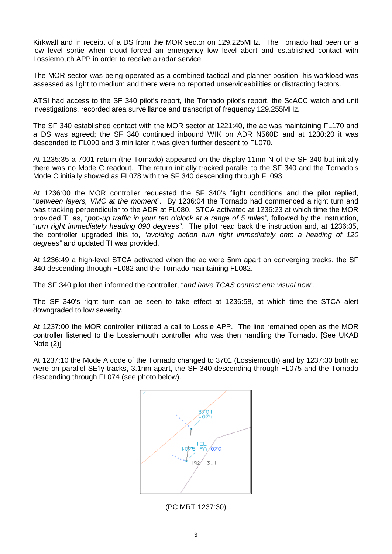Kirkwall and in receipt of a DS from the MOR sector on 129.225MHz. The Tornado had been on a low level sortie when cloud forced an emergency low level abort and established contact with Lossiemouth APP in order to receive a radar service.

The MOR sector was being operated as a combined tactical and planner position, his workload was assessed as light to medium and there were no reported unserviceabilities or distracting factors.

ATSI had access to the SF 340 pilot's report, the Tornado pilot's report, the ScACC watch and unit investigations, recorded area surveillance and transcript of frequency 129.255MHz.

The SF 340 established contact with the MOR sector at 1221:40, the ac was maintaining FL170 and a DS was agreed; the SF 340 continued inbound WIK on ADR N560D and at 1230:20 it was descended to FL090 and 3 min later it was given further descent to FL070.

At 1235:35 a 7001 return (the Tornado) appeared on the display 11nm N of the SF 340 but initially there was no Mode C readout. The return initially tracked parallel to the SF 340 and the Tornado's Mode C initially showed as FL078 with the SF 340 descending through FL093.

At 1236:00 the MOR controller requested the SF 340's flight conditions and the pilot replied, "*between layers, VMC at the moment*". By 1236:04 the Tornado had commenced a right turn and was tracking perpendicular to the ADR at FL080. STCA activated at 1236:23 at which time the MOR provided TI as, "*pop-up traffic in your ten o'clock at a range of 5 miles",* followed by the instruction, "*turn right immediately heading 090 degrees".* The pilot read back the instruction and, at 1236:35, the controller upgraded this to, "*avoiding action turn right immediately onto a heading of 120 degrees"* and updated TI was provided.

At 1236:49 a high-level STCA activated when the ac were 5nm apart on converging tracks, the SF 340 descending through FL082 and the Tornado maintaining FL082.

The SF 340 pilot then informed the controller, "a*nd have TCAS contact erm visual now"*.

The SF 340's right turn can be seen to take effect at 1236:58, at which time the STCA alert downgraded to low severity.

At 1237:00 the MOR controller initiated a call to Lossie APP. The line remained open as the MOR controller listened to the Lossiemouth controller who was then handling the Tornado. [See UKAB Note (2)]

At 1237:10 the Mode A code of the Tornado changed to 3701 (Lossiemouth) and by 1237:30 both ac were on parallel SE'ly tracks, 3.1nm apart, the SF 340 descending through FL075 and the Tornado descending through FL074 (see photo below).



(PC MRT 1237:30)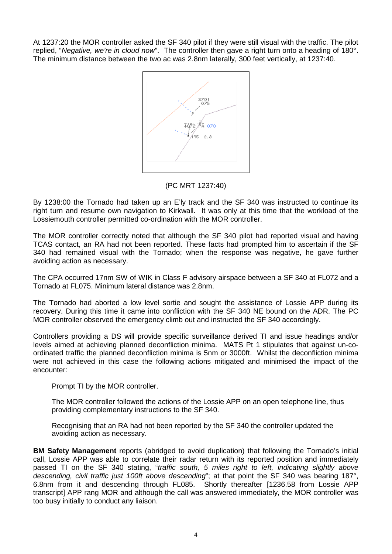At 1237:20 the MOR controller asked the SF 340 pilot if they were still visual with the traffic. The pilot replied, "*Negative, we're in cloud now*". The controller then gave a right turn onto a heading of 180°. The minimum distance between the two ac was 2.8nm laterally, 300 feet vertically, at 1237:40.



(PC MRT 1237:40)

By 1238:00 the Tornado had taken up an E'ly track and the SF 340 was instructed to continue its right turn and resume own navigation to Kirkwall. It was only at this time that the workload of the Lossiemouth controller permitted co-ordination with the MOR controller.

The MOR controller correctly noted that although the SF 340 pilot had reported visual and having TCAS contact, an RA had not been reported. These facts had prompted him to ascertain if the SF 340 had remained visual with the Tornado; when the response was negative, he gave further avoiding action as necessary.

The CPA occurred 17nm SW of WIK in Class F advisory airspace between a SF 340 at FL072 and a Tornado at FL075. Minimum lateral distance was 2.8nm.

The Tornado had aborted a low level sortie and sought the assistance of Lossie APP during its recovery. During this time it came into confliction with the SF 340 NE bound on the ADR. The PC MOR controller observed the emergency climb out and instructed the SF 340 accordingly.

Controllers providing a DS will provide specific surveillance derived TI and issue headings and/or levels aimed at achieving planned deconfliction minima. MATS Pt 1 stipulates that against un-coordinated traffic the planned deconfliction minima is 5nm or 3000ft. Whilst the deconfliction minima were not achieved in this case the following actions mitigated and minimised the impact of the encounter:

Prompt TI by the MOR controller.

The MOR controller followed the actions of the Lossie APP on an open telephone line, thus providing complementary instructions to the SF 340.

Recognising that an RA had not been reported by the SF 340 the controller updated the avoiding action as necessary.

**BM Safety Management** reports (abridged to avoid duplication) that following the Tornado's initial call, Lossie APP was able to correlate their radar return with its reported position and immediately passed TI on the SF 340 stating, "*traffic south, 5 miles right to left, indicating slightly above descending, civil traffic just 100ft above descending*"; at that point the SF 340 was bearing 187°, 6.8nm from it and descending through FL085. Shortly thereafter [1236.58 from Lossie APP transcript] APP rang MOR and although the call was answered immediately, the MOR controller was too busy initially to conduct any liaison.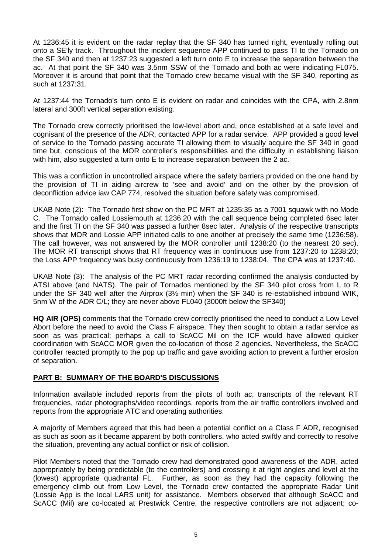At 1236:45 it is evident on the radar replay that the SF 340 has turned right, eventually rolling out onto a SE'ly track. Throughout the incident sequence APP continued to pass TI to the Tornado on the SF 340 and then at 1237:23 suggested a left turn onto E to increase the separation between the ac. At that point the SF 340 was 3.5nm SSW of the Tornado and both ac were indicating FL075. Moreover it is around that point that the Tornado crew became visual with the SF 340, reporting as such at 1237:31.

At 1237:44 the Tornado's turn onto E is evident on radar and coincides with the CPA, with 2.8nm lateral and 300ft vertical separation existing.

The Tornado crew correctly prioritised the low-level abort and, once established at a safe level and cognisant of the presence of the ADR, contacted APP for a radar service. APP provided a good level of service to the Tornado passing accurate TI allowing them to visually acquire the SF 340 in good time but, conscious of the MOR controller's responsibilities and the difficulty in establishing liaison with him, also suggested a turn onto E to increase separation between the 2 ac.

This was a confliction in uncontrolled airspace where the safety barriers provided on the one hand by the provision of TI in aiding aircrew to 'see and avoid' and on the other by the provision of deconfliction advice iaw CAP 774, resolved the situation before safety was compromised.

UKAB Note (2): The Tornado first show on the PC MRT at 1235:35 as a 7001 squawk with no Mode C. The Tornado called Lossiemouth at 1236:20 with the call sequence being completed 6sec later and the first TI on the SF 340 was passed a further 8sec later. Analysis of the respective transcripts shows that MOR and Lossie APP initiated calls to one another at precisely the same time (1236:58). The call however, was not answered by the MOR controller until 1238:20 (to the nearest 20 sec). The MOR RT transcript shows that RT frequency was in continuous use from 1237:20 to 1238:20; the Loss APP frequency was busy continuously from 1236:19 to 1238:04. The CPA was at 1237:40.

UKAB Note (3): The analysis of the PC MRT radar recording confirmed the analysis conducted by ATSI above (and NATS). The pair of Tornados mentioned by the SF 340 pilot cross from L to R under the SF 340 well after the Airprox (3½ min) when the SF 340 is re-established inbound WIK, 5nm W of the ADR C/L; they are never above FL040 (3000ft below the SF340)

**HQ AIR (OPS)** comments that the Tornado crew correctly prioritised the need to conduct a Low Level Abort before the need to avoid the Class F airspace. They then sought to obtain a radar service as soon as was practical; perhaps a call to ScACC Mil on the ICF would have allowed quicker coordination with ScACC MOR given the co-location of those 2 agencies. Nevertheless, the ScACC controller reacted promptly to the pop up traffic and gave avoiding action to prevent a further erosion of separation.

## **PART B: SUMMARY OF THE BOARD'S DISCUSSIONS**

Information available included reports from the pilots of both ac, transcripts of the relevant RT frequencies, radar photographs/video recordings, reports from the air traffic controllers involved and reports from the appropriate ATC and operating authorities.

A majority of Members agreed that this had been a potential conflict on a Class F ADR, recognised as such as soon as it became apparent by both controllers, who acted swiftly and correctly to resolve the situation, preventing any actual conflict or risk of collision.

Pilot Members noted that the Tornado crew had demonstrated good awareness of the ADR, acted appropriately by being predictable (to the controllers) and crossing it at right angles and level at the (lowest) appropriate quadrantal FL. Further, as soon as they had the capacity following the emergency climb out from Low Level, the Tornado crew contacted the appropriate Radar Unit (Lossie App is the local LARS unit) for assistance. Members observed that although ScACC and ScACC (Mil) are co-located at Prestwick Centre, the respective controllers are not adjacent; co